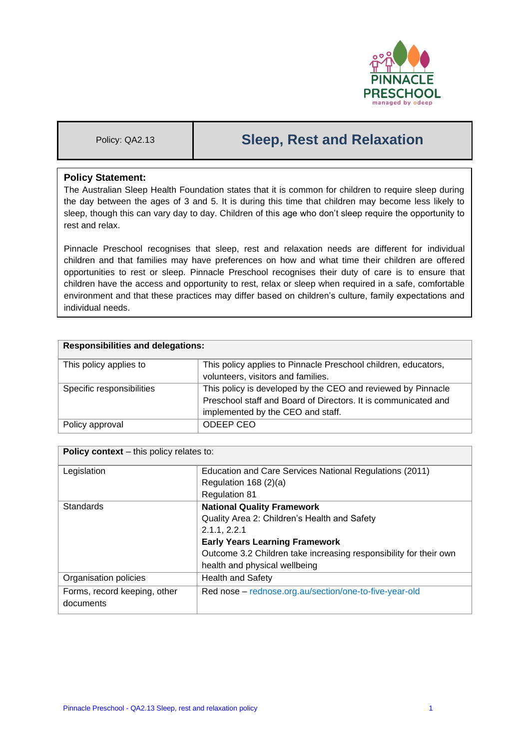

# Policy: QA2.13 **Sleep, Rest and Relaxation**

# **Policy Statement:**

The Australian Sleep Health Foundation states that it is common for children to require sleep during the day between the ages of 3 and 5. It is during this time that children may become less likely to sleep, though this can vary day to day. Children of this age who don't sleep require the opportunity to rest and relax.

Pinnacle Preschool recognises that sleep, rest and relaxation needs are different for individual children and that families may have preferences on how and what time their children are offered opportunities to rest or sleep. Pinnacle Preschool recognises their duty of care is to ensure that children have the access and opportunity to rest, relax or sleep when required in a safe, comfortable environment and that these practices may differ based on children's culture, family expectations and individual needs.

| <b>Responsibilities and delegations:</b> |                                                                |  |
|------------------------------------------|----------------------------------------------------------------|--|
| This policy applies to                   | This policy applies to Pinnacle Preschool children, educators, |  |
|                                          | volunteers, visitors and families.                             |  |
| Specific responsibilities                | This policy is developed by the CEO and reviewed by Pinnacle   |  |
|                                          | Preschool staff and Board of Directors. It is communicated and |  |
|                                          | implemented by the CEO and staff.                              |  |
| Policy approval                          | ODEEP CEO                                                      |  |

| <b>Policy context</b> – this policy relates to: |                                                                   |  |  |
|-------------------------------------------------|-------------------------------------------------------------------|--|--|
| Legislation                                     | Education and Care Services National Regulations (2011)           |  |  |
|                                                 | Regulation $168(2)(a)$                                            |  |  |
|                                                 | <b>Regulation 81</b>                                              |  |  |
| Standards                                       | <b>National Quality Framework</b>                                 |  |  |
|                                                 | Quality Area 2: Children's Health and Safety                      |  |  |
|                                                 | 2.1.1, 2.2.1                                                      |  |  |
|                                                 | <b>Early Years Learning Framework</b>                             |  |  |
|                                                 | Outcome 3.2 Children take increasing responsibility for their own |  |  |
|                                                 | health and physical wellbeing                                     |  |  |
| Organisation policies                           | <b>Health and Safety</b>                                          |  |  |
| Forms, record keeping, other                    | Red nose - rednose.org.au/section/one-to-five-year-old            |  |  |
| documents                                       |                                                                   |  |  |
|                                                 |                                                                   |  |  |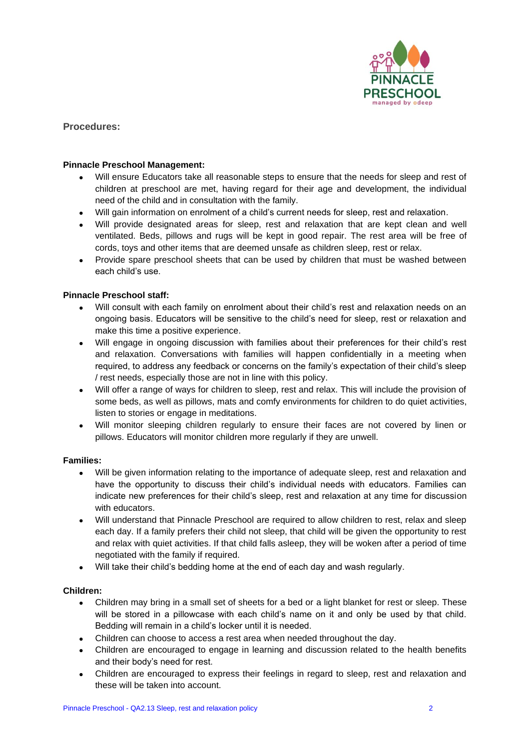

**Procedures:**

## **Pinnacle Preschool Management:**

- Will ensure Educators take all reasonable steps to ensure that the needs for sleep and rest of children at preschool are met, having regard for their age and development, the individual need of the child and in consultation with the family.
- Will gain information on enrolment of a child's current needs for sleep, rest and relaxation.
- Will provide designated areas for sleep, rest and relaxation that are kept clean and well ventilated. Beds, pillows and rugs will be kept in good repair. The rest area will be free of cords, toys and other items that are deemed unsafe as children sleep, rest or relax.
- Provide spare preschool sheets that can be used by children that must be washed between each child's use.

## **Pinnacle Preschool staff:**

- Will consult with each family on enrolment about their child's rest and relaxation needs on an ongoing basis. Educators will be sensitive to the child's need for sleep, rest or relaxation and make this time a positive experience.
- Will engage in ongoing discussion with families about their preferences for their child's rest and relaxation. Conversations with families will happen confidentially in a meeting when required, to address any feedback or concerns on the family's expectation of their child's sleep / rest needs, especially those are not in line with this policy.
- Will offer a range of ways for children to sleep, rest and relax. This will include the provision of some beds, as well as pillows, mats and comfy environments for children to do quiet activities, listen to stories or engage in meditations.
- Will monitor sleeping children regularly to ensure their faces are not covered by linen or pillows. Educators will monitor children more regularly if they are unwell.

### **Families:**

- Will be given information relating to the importance of adequate sleep, rest and relaxation and have the opportunity to discuss their child's individual needs with educators. Families can indicate new preferences for their child's sleep, rest and relaxation at any time for discussion with educators.
- Will understand that Pinnacle Preschool are required to allow children to rest, relax and sleep each day. If a family prefers their child not sleep, that child will be given the opportunity to rest and relax with quiet activities. If that child falls asleep, they will be woken after a period of time negotiated with the family if required.
- Will take their child's bedding home at the end of each day and wash regularly.

### **Children:**

- Children may bring in a small set of sheets for a bed or a light blanket for rest or sleep. These will be stored in a pillowcase with each child's name on it and only be used by that child. Bedding will remain in a child's locker until it is needed.
- Children can choose to access a rest area when needed throughout the day.
- Children are encouraged to engage in learning and discussion related to the health benefits and their body's need for rest.
- Children are encouraged to express their feelings in regard to sleep, rest and relaxation and these will be taken into account.